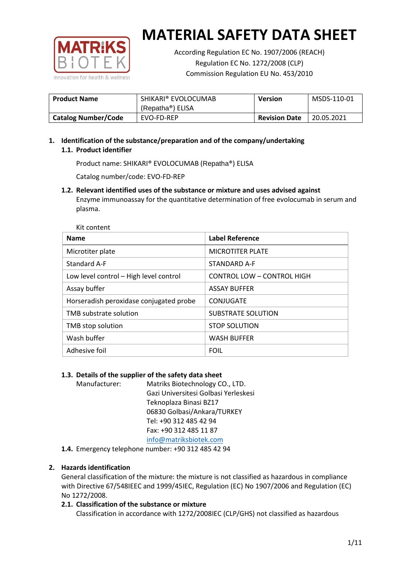

According Regulation EC No. 1907/2006 (REACH) Regulation EC No. 1272/2008 (CLP) Commission Regulation EU No. 453/2010

| <b>Product Name</b>        | SHIKARI® EVOLOCUMAB<br>(Repatha®) ELISA | <b>Version</b>       | MSDS-110-01 |
|----------------------------|-----------------------------------------|----------------------|-------------|
| <b>Catalog Number/Code</b> | EVO-FD-REP                              | <b>Revision Date</b> | 20.05.2021  |

# **1. Identification of the substance/preparation and of the company/undertaking 1.1. Product identifier**

Product name: SHIKARI® EVOLOCUMAB (Repatha®) ELISA

Catalog number/code: EVO-FD-REP

**1.2. Relevant identified uses of the substance or mixture and uses advised against** Enzyme immunoassay for the quantitative determination of free evolocumab in serum and plasma.

| <b>Name</b>                             | <b>Label Reference</b>     |
|-----------------------------------------|----------------------------|
| Microtiter plate                        | <b>MICROTITER PLATE</b>    |
| Standard A-F                            | STANDARD A-F               |
| Low level control - High level control  | CONTROL LOW - CONTROL HIGH |
| Assay buffer                            | <b>ASSAY BUFFER</b>        |
| Horseradish peroxidase conjugated probe | CONJUGATE                  |
| TMB substrate solution                  | <b>SUBSTRATE SOLUTION</b>  |
| TMB stop solution                       | <b>STOP SOLUTION</b>       |
| Wash buffer                             | <b>WASH BUFFER</b>         |
| Adhesive foil                           | <b>FOIL</b>                |

## **1.3. Details of the supplier of the safety data sheet**

Manufacturer: Matriks Biotechnology CO., LTD. Gazi Universitesi Golbasi Yerleskesi Teknoplaza Binasi BZ17 06830 Golbasi/Ankara/TURKEY Tel: +90 312 485 42 94 Fax: +90 312 485 11 87 [info@matriksbiotek.com](mailto:info@matriksbiotek.com)

**1.4.** Emergency telephone number: +90 312 485 42 94

## **2. Hazards identification**

General classification of the mixture: the mixture is not classified as hazardous in compliance with Directive 67/548IEEC and 1999/45IEC, Regulation (EC) No 1907/2006 and Regulation (EC) No 1272/2008.

## **2.1. Classification of the substance or mixture**

Classification in accordance with 1272/2008IEC (CLP/GHS) not classified as hazardous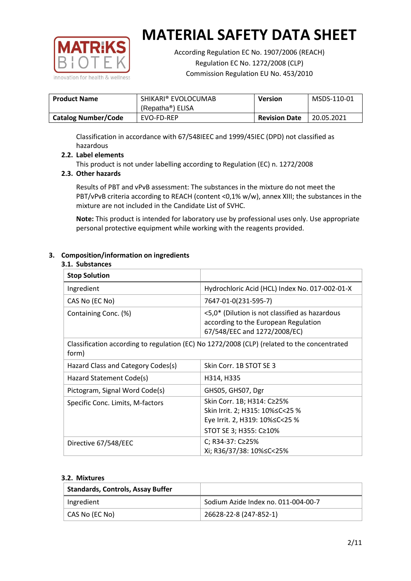

According Regulation EC No. 1907/2006 (REACH) Regulation EC No. 1272/2008 (CLP) Commission Regulation EU No. 453/2010

| <b>Product Name</b>        | SHIKARI® EVOLOCUMAB<br>(Repatha®) ELISA | <b>Version</b>       | MSDS-110-01 |
|----------------------------|-----------------------------------------|----------------------|-------------|
| <b>Catalog Number/Code</b> | EVO-FD-REP                              | <b>Revision Date</b> | 20.05.2021  |

Classification in accordance with 67/548IEEC and 1999/45IEC (DPD) not classified as hazardous

## **2.2. Label elements**

This product is not under labelling according to Regulation (EC) n. 1272/2008

## **2.3. Other hazards**

Results of PBT and vPvB assessment: The substances in the mixture do not meet the PBT/vPvB criteria according to REACH (content <0,1% w/w), annex XIII; the substances in the mixture are not included in the Candidate List of SVHC.

**Note:** This product is intended for laboratory use by professional uses only. Use appropriate personal protective equipment while working with the reagents provided.

## **3. Composition/information on ingredients**

#### **3.1. Substances**

| <b>Stop Solution</b>               |                                                                                                                           |
|------------------------------------|---------------------------------------------------------------------------------------------------------------------------|
| Ingredient                         | Hydrochloric Acid (HCL) Index No. 017-002-01-X                                                                            |
| CAS No (EC No)                     | 7647-01-0(231-595-7)                                                                                                      |
| Containing Conc. (%)               | <5,0* (Dilution is not classified as hazardous<br>according to the European Regulation<br>67/548/EEC and 1272/2008/EC)    |
| form)                              | Classification according to regulation (EC) No 1272/2008 (CLP) (related to the concentrated                               |
| Hazard Class and Category Codes(s) | Skin Corr. 1B STOT SE 3                                                                                                   |
| Hazard Statement Code(s)           | H314, H335                                                                                                                |
| Pictogram, Signal Word Code(s)     | GHS05, GHS07, Dgr                                                                                                         |
| Specific Conc. Limits, M-factors   | Skin Corr. 1B; H314: C≥25%<br>Skin Irrit. 2; H315: 10%≤C<25 %<br>Eye Irrit. 2, H319: 10%≤C<25 %<br>STOT SE 3; H355: C≥10% |
| Directive 67/548/EEC               | C; R34-37: C≥25%<br>Xi; R36/37/38: 10%≤C<25%                                                                              |

#### **3.2. Mixtures**

| <b>Standards, Controls, Assay Buffer</b> |                                     |
|------------------------------------------|-------------------------------------|
| Ingredient                               | Sodium Azide Index no. 011-004-00-7 |
| CAS No (EC No)                           | 26628-22-8 (247-852-1)              |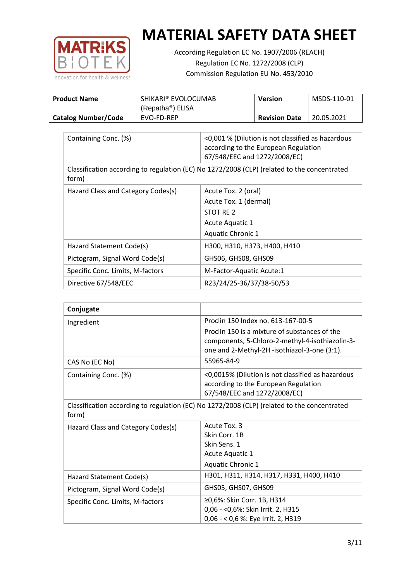

According Regulation EC No. 1907/2006 (REACH) Regulation EC No. 1272/2008 (CLP) Commission Regulation EU No. 453/2010

| <b>Product Name</b>        | SHIKARI® EVOLOCUMAB<br>(Repatha <sup>®</sup> ) ELISA | Version              | MSDS-110-01 |
|----------------------------|------------------------------------------------------|----------------------|-------------|
| <b>Catalog Number/Code</b> | EVO-FD-REP                                           | <b>Revision Date</b> | 20.05.2021  |

| Containing Conc. (%)               | <0,001 % (Dilution is not classified as hazardous<br>according to the European Regulation<br>67/548/EEC and 1272/2008/EC) |
|------------------------------------|---------------------------------------------------------------------------------------------------------------------------|
| form)                              | Classification according to regulation (EC) No 1272/2008 (CLP) (related to the concentrated                               |
| Hazard Class and Category Codes(s) | Acute Tox. 2 (oral)                                                                                                       |
|                                    | Acute Tox. 1 (dermal)                                                                                                     |
|                                    | STOT RE 2                                                                                                                 |
|                                    | Acute Aquatic 1                                                                                                           |
|                                    | Aquatic Chronic 1                                                                                                         |
| Hazard Statement Code(s)           | H300, H310, H373, H400, H410                                                                                              |
| Pictogram, Signal Word Code(s)     | GHS06, GHS08, GHS09                                                                                                       |
| Specific Conc. Limits, M-factors   | M-Factor-Aquatic Acute:1                                                                                                  |
| Directive 67/548/EEC               | R23/24/25-36/37/38-50/53                                                                                                  |

| Conjugate                          |                                                                                                                                                  |
|------------------------------------|--------------------------------------------------------------------------------------------------------------------------------------------------|
| Ingredient                         | Proclin 150 Index no. 613-167-00-5                                                                                                               |
|                                    | Proclin 150 is a mixture of substances of the<br>components, 5-Chloro-2-methyl-4-isothiazolin-3-<br>one and 2-Methyl-2H -isothiazol-3-one (3:1). |
| CAS No (EC No)                     | 55965-84-9                                                                                                                                       |
| Containing Conc. (%)               | <0,0015% (Dilution is not classified as hazardous<br>according to the European Regulation<br>67/548/EEC and 1272/2008/EC)                        |
| form)                              | Classification according to regulation (EC) No 1272/2008 (CLP) (related to the concentrated                                                      |
| Hazard Class and Category Codes(s) | Acute Tox, 3                                                                                                                                     |
|                                    | Skin Corr. 1B                                                                                                                                    |
|                                    | Skin Sens. 1                                                                                                                                     |
|                                    | <b>Acute Aquatic 1</b>                                                                                                                           |
|                                    | <b>Aquatic Chronic 1</b>                                                                                                                         |
| Hazard Statement Code(s)           | H301, H311, H314, H317, H331, H400, H410                                                                                                         |
| Pictogram, Signal Word Code(s)     | GHS05, GHS07, GHS09                                                                                                                              |
| Specific Conc. Limits, M-factors   | ≥0,6%: Skin Corr. 1B, H314<br>0,06 - < 0,6%: Skin Irrit. 2, H315<br>0,06 - < 0,6 %: Eye Irrit. 2, H319                                           |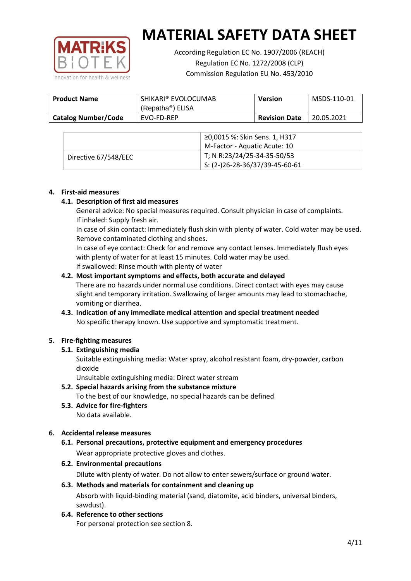

According Regulation EC No. 1907/2006 (REACH) Regulation EC No. 1272/2008 (CLP) Commission Regulation EU No. 453/2010

| <b>Product Name</b>        | SHIKARI® EVOLOCUMAB<br>(Repatha <sup>®</sup> ) ELISA | <b>Version</b>       | MSDS-110-01 |
|----------------------------|------------------------------------------------------|----------------------|-------------|
| <b>Catalog Number/Code</b> | EVO-FD-REP                                           | <b>Revision Date</b> | 20.05.2021  |

|                      | ≥0,0015 %: Skin Sens. 1, H317                |
|----------------------|----------------------------------------------|
|                      | M-Factor - Aquatic Acute: 10                 |
| Directive 67/548/EEC | T; N R:23/24/25-34-35-50/53                  |
|                      | $\frac{1}{2}$ S: (2-)26-28-36/37/39-45-60-61 |

## **4. First-aid measures**

## **4.1. Description of first aid measures**

General advice: No special measures required. Consult physician in case of complaints. If inhaled: Supply fresh air.

In case of skin contact: Immediately flush skin with plenty of water. Cold water may be used. Remove contaminated clothing and shoes.

In case of eye contact: Check for and remove any contact lenses. Immediately flush eyes with plenty of water for at least 15 minutes. Cold water may be used. If swallowed: Rinse mouth with plenty of water

## **4.2. Most important symptoms and effects, both accurate and delayed**

There are no hazards under normal use conditions. Direct contact with eyes may cause slight and temporary irritation. Swallowing of larger amounts may lead to stomachache, vomiting or diarrhea.

## **4.3. Indication of any immediate medical attention and special treatment needed** No specific therapy known. Use supportive and symptomatic treatment.

## **5. Fire-fighting measures**

## **5.1. Extinguishing media**

Suitable extinguishing media: Water spray, alcohol resistant foam, dry-powder, carbon dioxide

Unsuitable extinguishing media: Direct water stream

- **5.2. Special hazards arising from the substance mixture** To the best of our knowledge, no special hazards can be defined
- **5.3. Advice for fire-fighters** No data available.

## **6. Accidental release measures**

- **6.1. Personal precautions, protective equipment and emergency procedures** Wear appropriate protective gloves and clothes.
- **6.2. Environmental precautions**

Dilute with plenty of water. Do not allow to enter sewers/surface or ground water.

#### **6.3. Methods and materials for containment and cleaning up**

Absorb with liquid-binding material (sand, diatomite, acid binders, universal binders, sawdust).

**6.4. Reference to other sections**

For personal protection see section 8.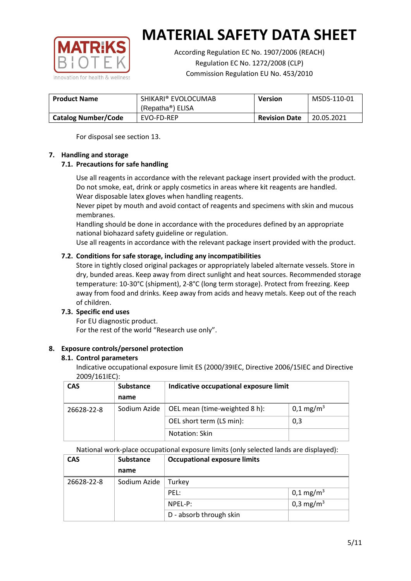

According Regulation EC No. 1907/2006 (REACH) Regulation EC No. 1272/2008 (CLP) Commission Regulation EU No. 453/2010

| <b>Product Name</b>        | SHIKARI® EVOLOCUMAB           | <b>Version</b>       | MSDS-110-01 |
|----------------------------|-------------------------------|----------------------|-------------|
|                            | (Repatha <sup>®</sup> ) ELISA |                      |             |
| <b>Catalog Number/Code</b> | EVO-FD-REP                    | <b>Revision Date</b> | 20.05.2021  |

For disposal see section 13.

## **7. Handling and storage**

## **7.1. Precautions for safe handling**

Use all reagents in accordance with the relevant package insert provided with the product. Do not smoke, eat, drink or apply cosmetics in areas where kit reagents are handled. Wear disposable latex gloves when handling reagents.

Never pipet by mouth and avoid contact of reagents and specimens with skin and mucous membranes.

Handling should be done in accordance with the procedures defined by an appropriate national biohazard safety guideline or regulation.

Use all reagents in accordance with the relevant package insert provided with the product.

## **7.2. Conditions for safe storage, including any incompatibilities**

Store in tightly closed original packages or appropriately labeled alternate vessels. Store in dry, bunded areas. Keep away from direct sunlight and heat sources. Recommended storage temperature: 10-30°C (shipment), 2-8°C (long term storage). Protect from freezing. Keep away from food and drinks. Keep away from acids and heavy metals. Keep out of the reach of children.

## **7.3. Specific end uses**

For EU diagnostic product. For the rest of the world "Research use only".

## **8. Exposure controls/personel protection**

#### **8.1. Control parameters**

Indicative occupational exposure limit ES (2000/39IEC, Directive 2006/15IEC and Directive 2009/161IEC):

| <b>CAS</b> | <b>Substance</b> | Indicative occupational exposure limit |                         |
|------------|------------------|----------------------------------------|-------------------------|
|            | name             |                                        |                         |
| 26628-22-8 | Sodium Azide     | OEL mean (time-weighted 8 h):          | $0,1 \,\mathrm{mg/m^3}$ |
|            |                  | OEL short term (LS min):               | 0,3                     |
|            |                  | Notation: Skin                         |                         |

National work-place occupational exposure limits (only selected lands are displayed):

| <b>CAS</b> | <b>Substance</b> | <b>Occupational exposure limits</b> |                         |
|------------|------------------|-------------------------------------|-------------------------|
|            | name             |                                     |                         |
| 26628-22-8 | Sodium Azide     | Turkey                              |                         |
|            |                  | PEL:                                | $0,1 \,\mathrm{mg/m^3}$ |
|            |                  | $NPEL-P$ :                          | 0,3 mg/m <sup>3</sup>   |
|            |                  | D - absorb through skin             |                         |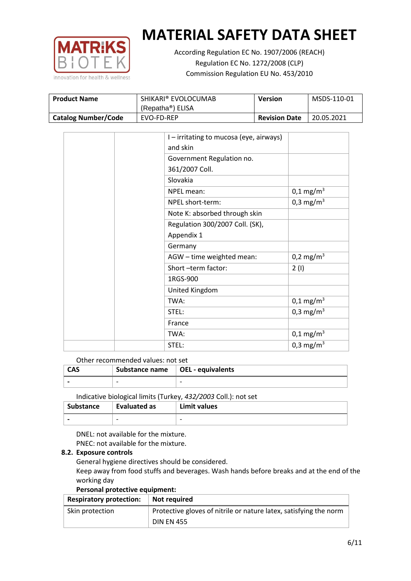

According Regulation EC No. 1907/2006 (REACH) Regulation EC No. 1272/2008 (CLP) Commission Regulation EU No. 453/2010

| <b>Product Name</b>        | SHIKARI® EVOLOCUMAB<br>(Repatha <sup>®</sup> ) ELISA | <b>Version</b>       | MSDS-110-01 |
|----------------------------|------------------------------------------------------|----------------------|-------------|
| <b>Catalog Number/Code</b> | EVO-FD-REP                                           | <b>Revision Date</b> | 20.05.2021  |

|  | I - irritating to mucosa (eye, airways) |                         |
|--|-----------------------------------------|-------------------------|
|  | and skin                                |                         |
|  | Government Regulation no.               |                         |
|  | 361/2007 Coll.                          |                         |
|  | Slovakia                                |                         |
|  | NPEL mean:                              | $0,1 \text{ mg/m}^3$    |
|  | NPEL short-term:                        | $0,3$ mg/m <sup>3</sup> |
|  | Note K: absorbed through skin           |                         |
|  | Regulation 300/2007 Coll. (SK),         |                         |
|  | Appendix 1                              |                         |
|  | Germany                                 |                         |
|  | AGW - time weighted mean:               | 0,2 mg/m <sup>3</sup>   |
|  | Short-term factor:                      | 2(1)                    |
|  | 1RGS-900                                |                         |
|  | United Kingdom                          |                         |
|  | TWA:                                    | $0,1 \text{ mg/m}^3$    |
|  | STEL:                                   | 0,3 mg/m <sup>3</sup>   |
|  | France                                  |                         |
|  | TWA:                                    | $0,1 \text{ mg/m}^3$    |
|  | STEL:                                   | 0,3 mg/m <sup>3</sup>   |

#### Other recommended values: not set

| <b>CAS</b> | Substance name $\vert$ OEL - equivalents |  |
|------------|------------------------------------------|--|
|            | $\overline{\phantom{0}}$                 |  |
|            |                                          |  |

Indicative biological limits (Turkey, *432/2003* Coll.): not set

| Substance                | Evaluated as             | Limit values             |
|--------------------------|--------------------------|--------------------------|
| $\overline{\phantom{0}}$ | $\overline{\phantom{0}}$ | $\overline{\phantom{0}}$ |

DNEL: not available for the mixture. PNEC: not available for the mixture.

## **8.2. Exposure controls**

General hygiene directives should be considered.

Keep away from food stuffs and beverages. Wash hands before breaks and at the end of the working day

#### **Personal protective equipment:**

| <b>Respiratory protection:</b> | Not required                                                      |
|--------------------------------|-------------------------------------------------------------------|
| Skin protection                | Protective gloves of nitrile or nature latex, satisfying the norm |
|                                | <b>DIN EN 455</b>                                                 |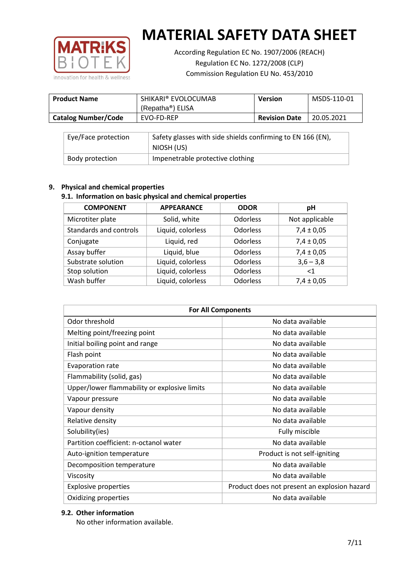

According Regulation EC No. 1907/2006 (REACH) Regulation EC No. 1272/2008 (CLP) Commission Regulation EU No. 453/2010

| <b>Product Name</b>        | SHIKARI® EVOLOCUMAB<br>(Repatha®) ELISA | <b>Version</b>       | MSDS-110-01 |
|----------------------------|-----------------------------------------|----------------------|-------------|
| <b>Catalog Number/Code</b> | EVO-FD-REP                              | <b>Revision Date</b> | 20.05.2021  |

| Eye/Face protection | Safety glasses with side shields confirming to EN 166 (EN),<br>NIOSH (US) |
|---------------------|---------------------------------------------------------------------------|
| Body protection     | Impenetrable protective clothing                                          |

## **9. Physical and chemical properties**

## **9.1. Information on basic physical and chemical properties**

| <b>COMPONENT</b>       | <b>APPEARANCE</b> | <b>ODOR</b>     | pH             |
|------------------------|-------------------|-----------------|----------------|
| Microtiter plate       | Solid, white      | Odorless        | Not applicable |
| Standards and controls | Liquid, colorless | <b>Odorless</b> | $7,4 \pm 0,05$ |
| Conjugate              | Liquid, red       | <b>Odorless</b> | $7,4 \pm 0,05$ |
| Assay buffer           | Liquid, blue      | <b>Odorless</b> | $7,4 \pm 0,05$ |
| Substrate solution     | Liquid, colorless | <b>Odorless</b> | $3,6 - 3,8$    |
| Stop solution          | Liquid, colorless | <b>Odorless</b> | ${<}1$         |
| Wash buffer            | Liquid, colorless | <b>Odorless</b> | $7,4 \pm 0,05$ |

| <b>For All Components</b>                    |                                              |  |  |
|----------------------------------------------|----------------------------------------------|--|--|
| Odor threshold                               | No data available                            |  |  |
| Melting point/freezing point                 | No data available                            |  |  |
| Initial boiling point and range              | No data available                            |  |  |
| Flash point                                  | No data available                            |  |  |
| <b>Evaporation rate</b>                      | No data available                            |  |  |
| Flammability (solid, gas)                    | No data available                            |  |  |
| Upper/lower flammability or explosive limits | No data available                            |  |  |
| Vapour pressure                              | No data available                            |  |  |
| Vapour density                               | No data available                            |  |  |
| Relative density                             | No data available                            |  |  |
| Solubility(ies)                              | Fully miscible                               |  |  |
| Partition coefficient: n-octanol water       | No data available                            |  |  |
| Auto-ignition temperature                    | Product is not self-igniting                 |  |  |
| Decomposition temperature                    | No data available                            |  |  |
| Viscosity                                    | No data available                            |  |  |
| <b>Explosive properties</b>                  | Product does not present an explosion hazard |  |  |
| Oxidizing properties                         | No data available                            |  |  |

## **9.2. Other information**

No other information available.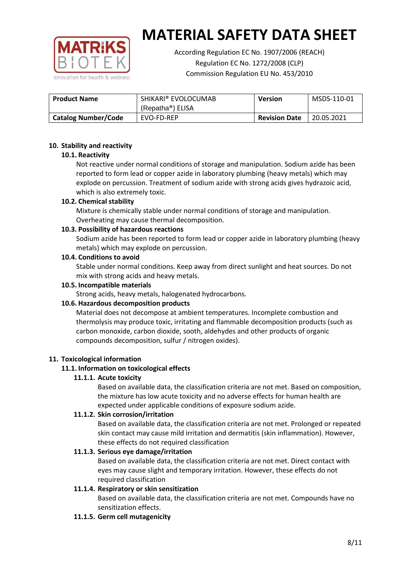

According Regulation EC No. 1907/2006 (REACH) Regulation EC No. 1272/2008 (CLP) Commission Regulation EU No. 453/2010

| <b>Product Name</b>        | SHIKARI® EVOLOCUMAB<br>(Repatha®) ELISA | <b>Version</b>       | MSDS-110-01 |
|----------------------------|-----------------------------------------|----------------------|-------------|
| <b>Catalog Number/Code</b> | EVO-FD-REP                              | <b>Revision Date</b> | 20.05.2021  |

## **10. Stability and reactivity**

## **10.1. Reactivity**

Not reactive under normal conditions of storage and manipulation. Sodium azide has been reported to form lead or copper azide in laboratory plumbing (heavy metals) which may explode on percussion. Treatment of sodium azide with strong acids gives hydrazoic acid, which is also extremely toxic.

## **10.2. Chemical stability**

Mixture is chemically stable under normal conditions of storage and manipulation. Overheating may cause thermal decomposition.

## **10.3. Possibility of hazardous reactions**

Sodium azide has been reported to form lead or copper azide in laboratory plumbing (heavy metals) which may explode on percussion.

#### **10.4. Conditions to avoid**

Stable under normal conditions. Keep away from direct sunlight and heat sources. Do not mix with strong acids and heavy metals.

#### **10.5. Incompatible materials**

Strong acids, heavy metals, halogenated hydrocarbons.

## **10.6. Hazardous decomposition products**

Material does not decompose at ambient temperatures. Incomplete combustion and thermolysis may produce toxic, irritating and flammable decomposition products (such as carbon monoxide, carbon dioxide, sooth, aldehydes and other products of organic compounds decomposition, sulfur / nitrogen oxides).

## **11. Toxicological information**

## **11.1. Information on toxicological effects**

## **11.1.1. Acute toxicity**

Based on available data, the classification criteria are not met. Based on composition, the mixture has low acute toxicity and no adverse effects for human health are expected under applicable conditions of exposure sodium azide.

## **11.1.2. Skin corrosion/irritation**

Based on available data, the classification criteria are not met. Prolonged or repeated skin contact may cause mild irritation and dermatitis (skin inflammation). However, these effects do not required classification

## **11.1.3. Serious eye damage/irritation**

Based on available data, the classification criteria are not met. Direct contact with eyes may cause slight and temporary irritation. However, these effects do not required classification

## **11.1.4. Respiratory or skin sensitization**

Based on available data, the classification criteria are not met. Compounds have no sensitization effects.

#### **11.1.5. Germ cell mutagenicity**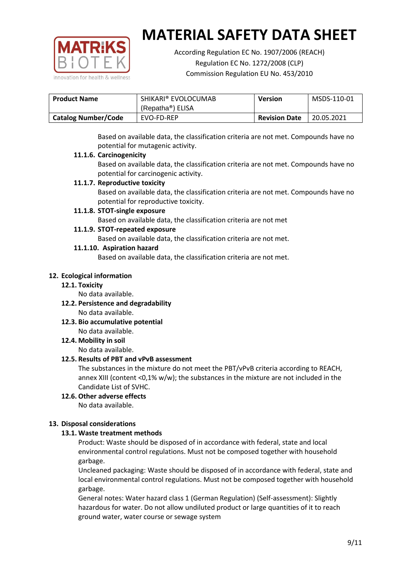

According Regulation EC No. 1907/2006 (REACH) Regulation EC No. 1272/2008 (CLP) Commission Regulation EU No. 453/2010

| SHIKARI® EVOLOCUMAB<br><b>Product Name</b> |                               | <b>Version</b>       | MSDS-110-01 |
|--------------------------------------------|-------------------------------|----------------------|-------------|
|                                            | (Repatha <sup>®</sup> ) ELISA |                      |             |
| <b>Catalog Number/Code</b>                 | EVO-FD-REP                    | <b>Revision Date</b> | 20.05.2021  |

Based on available data, the classification criteria are not met. Compounds have no potential for mutagenic activity.

## **11.1.6. Carcinogenicity**

Based on available data, the classification criteria are not met. Compounds have no potential for carcinogenic activity.

## **11.1.7. Reproductive toxicity**

Based on available data, the classification criteria are not met. Compounds have no potential for reproductive toxicity.

## **11.1.8. STOT-single exposure**

Based on available data, the classification criteria are not met

## **11.1.9. STOT-repeated exposure**

Based on available data, the classification criteria are not met.

## **11.1.10. Aspiration hazard**

Based on available data, the classification criteria are not met.

## **12. Ecological information**

#### **12.1. Toxicity**

No data available.

- **12.2. Persistence and degradability** No data available.
- **12.3. Bio accumulative potential** No data available.

**12.4. Mobility in soil**

No data available.

## **12.5. Results of PBT and vPvB assessment**

The substances in the mixture do not meet the PBT/vPvB criteria according to REACH, annex XIII (content <0,1% w/w); the substances in the mixture are not included in the Candidate List of SVHC.

#### **12.6. Other adverse effects** No data available.

## **13. Disposal considerations**

## **13.1. Waste treatment methods**

Product: Waste should be disposed of in accordance with federal, state and local environmental control regulations. Must not be composed together with household garbage.

Uncleaned packaging: Waste should be disposed of in accordance with federal, state and local environmental control regulations. Must not be composed together with household garbage.

General notes: Water hazard class 1 (German Regulation) (Self-assessment): Slightly hazardous for water. Do not allow undiluted product or large quantities of it to reach ground water, water course or sewage system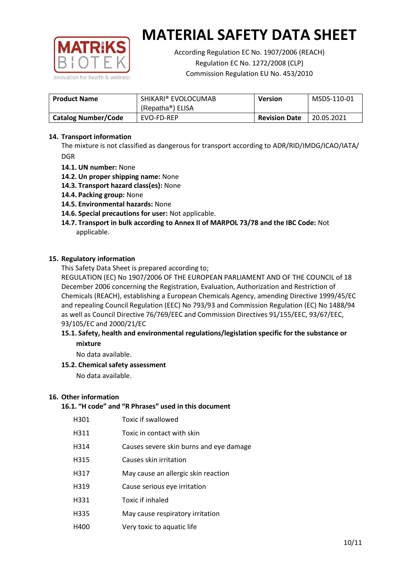

According Regulation EC No. 1907/2006 (REACH) Regulation EC No. 1272/2008 (CLP) Commission Regulation EU No. 453/2010

| <b>Product Name</b>        | SHIKARI® EVOLOCUMAB<br>(Repatha®) ELISA | <b>Version</b> | MSDS-110-01 |
|----------------------------|-----------------------------------------|----------------|-------------|
| <b>Catalog Number/Code</b> | <b>Revision Date</b><br>EVO-FD-REP      |                | 20.05.2021  |

## **14. Transport information**

The mixture is not classified as dangerous for transport according to ADR/RID/IMDG/ICAO/IATA/ DGR

- **14.1. UN number:** None
- **14.2. Un proper shipping name:** None
- **14.3. Transport hazard class(es):** None
- **14.4. Packing group:** None
- **14.5. Environmental hazards:** None
- **14.6. Special precautions for user:** Not applicable.
- **14.7. Transport in bulk according to Annex II of MARPOL 73/78 and the IBC Code:** Not applicable.

#### **15. Regulatory information**

This Safety Data Sheet is prepared according to;

REGULATION (EC) No 1907/2006 OF THE EUROPEAN PARLIAMENT AND OF THE COUNCIL of 18 December 2006 concerning the Registration, Evaluation, Authorization and Restriction of Chemicals (REACH), establishing a European Chemicals Agency, amending Directive 1999/45/EC and repealing Council Regulation (EEC) No 793/93 and Commission Regulation (EC) No 1488/94 as well as Council Directive 76/769/EEC and Commission Directives 91/155/EEC, 93/67/EEC, 93/105/EC and 2000/21/EC

## **15.1. Safety, health and environmental regulations/legislation specific for the substance or mixture**

No data available.

## **15.2. Chemical safety assessment**

No data available.

#### **16. Other information**

# **16.1. "H code" and "R Phrases" used in this document**

| H301 | Toxic if swallowed |
|------|--------------------|
|------|--------------------|

- H311 Toxic in contact with skin
- H314 Causes severe skin burns and eye damage
- H315 Causes skin irritation
- H317 May cause an allergic skin reaction
- H319 Cause serious eye irritation
- H331 Toxic if inhaled
- H335 May cause respiratory irritation
- H400 Very toxic to aquatic life